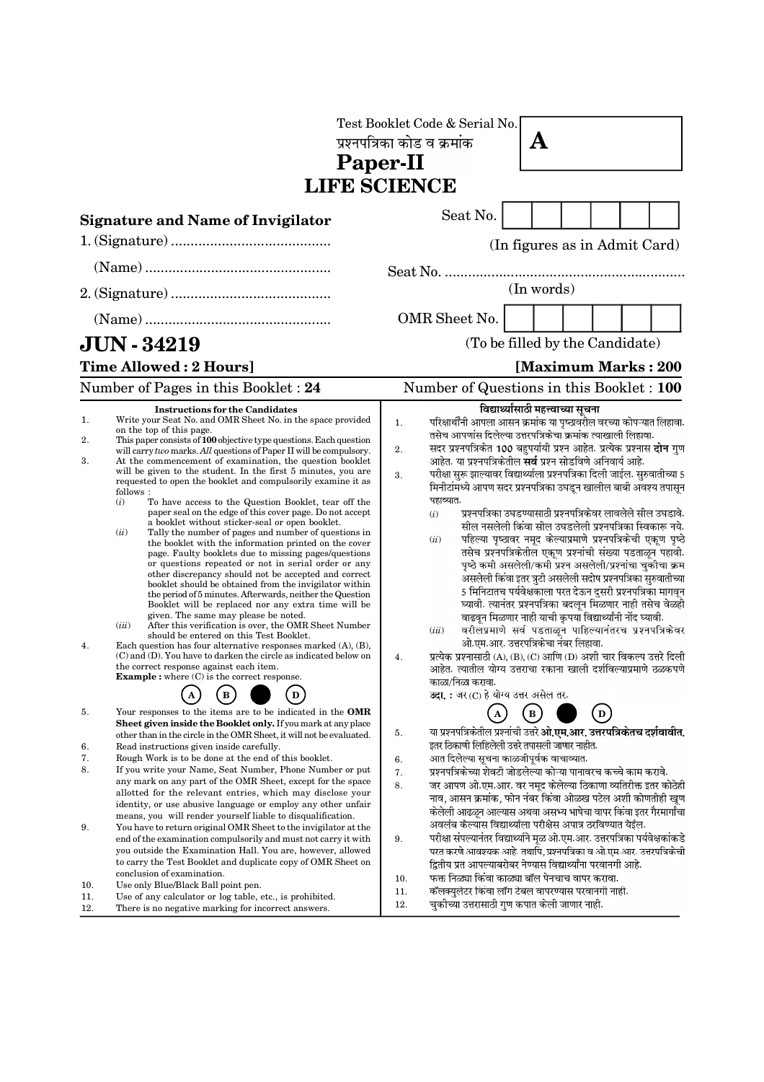|                                          |                                                                                                                                                                                                                                                                                                                                                                                                                                                                                                                                                                                                                                                                                                                                                                                                                                                                                                                                                                                                                                                                                                                                                                                                                                                                                                                                                                                                                                                                                                                                                                   | Test Booklet Code & Serial No.<br>प्रश्नपत्रिका कोड व क्रमांक<br>A<br>Paper-II                                                                                                                                                                                                                                                                                                                                                                                                                                                                                                                                                                                                                                                                                                                                                                                                                                                                                                                                                                                                                                                                                                                                                                                                                                                                                                                                                                                               |  |  |  |  |  |
|------------------------------------------|-------------------------------------------------------------------------------------------------------------------------------------------------------------------------------------------------------------------------------------------------------------------------------------------------------------------------------------------------------------------------------------------------------------------------------------------------------------------------------------------------------------------------------------------------------------------------------------------------------------------------------------------------------------------------------------------------------------------------------------------------------------------------------------------------------------------------------------------------------------------------------------------------------------------------------------------------------------------------------------------------------------------------------------------------------------------------------------------------------------------------------------------------------------------------------------------------------------------------------------------------------------------------------------------------------------------------------------------------------------------------------------------------------------------------------------------------------------------------------------------------------------------------------------------------------------------|------------------------------------------------------------------------------------------------------------------------------------------------------------------------------------------------------------------------------------------------------------------------------------------------------------------------------------------------------------------------------------------------------------------------------------------------------------------------------------------------------------------------------------------------------------------------------------------------------------------------------------------------------------------------------------------------------------------------------------------------------------------------------------------------------------------------------------------------------------------------------------------------------------------------------------------------------------------------------------------------------------------------------------------------------------------------------------------------------------------------------------------------------------------------------------------------------------------------------------------------------------------------------------------------------------------------------------------------------------------------------------------------------------------------------------------------------------------------------|--|--|--|--|--|
|                                          |                                                                                                                                                                                                                                                                                                                                                                                                                                                                                                                                                                                                                                                                                                                                                                                                                                                                                                                                                                                                                                                                                                                                                                                                                                                                                                                                                                                                                                                                                                                                                                   | <b>LIFE SCIENCE</b>                                                                                                                                                                                                                                                                                                                                                                                                                                                                                                                                                                                                                                                                                                                                                                                                                                                                                                                                                                                                                                                                                                                                                                                                                                                                                                                                                                                                                                                          |  |  |  |  |  |
|                                          | <b>Signature and Name of Invigilator</b>                                                                                                                                                                                                                                                                                                                                                                                                                                                                                                                                                                                                                                                                                                                                                                                                                                                                                                                                                                                                                                                                                                                                                                                                                                                                                                                                                                                                                                                                                                                          | Seat No.                                                                                                                                                                                                                                                                                                                                                                                                                                                                                                                                                                                                                                                                                                                                                                                                                                                                                                                                                                                                                                                                                                                                                                                                                                                                                                                                                                                                                                                                     |  |  |  |  |  |
|                                          |                                                                                                                                                                                                                                                                                                                                                                                                                                                                                                                                                                                                                                                                                                                                                                                                                                                                                                                                                                                                                                                                                                                                                                                                                                                                                                                                                                                                                                                                                                                                                                   | (In figures as in Admit Card)                                                                                                                                                                                                                                                                                                                                                                                                                                                                                                                                                                                                                                                                                                                                                                                                                                                                                                                                                                                                                                                                                                                                                                                                                                                                                                                                                                                                                                                |  |  |  |  |  |
|                                          |                                                                                                                                                                                                                                                                                                                                                                                                                                                                                                                                                                                                                                                                                                                                                                                                                                                                                                                                                                                                                                                                                                                                                                                                                                                                                                                                                                                                                                                                                                                                                                   |                                                                                                                                                                                                                                                                                                                                                                                                                                                                                                                                                                                                                                                                                                                                                                                                                                                                                                                                                                                                                                                                                                                                                                                                                                                                                                                                                                                                                                                                              |  |  |  |  |  |
|                                          |                                                                                                                                                                                                                                                                                                                                                                                                                                                                                                                                                                                                                                                                                                                                                                                                                                                                                                                                                                                                                                                                                                                                                                                                                                                                                                                                                                                                                                                                                                                                                                   | (In words)                                                                                                                                                                                                                                                                                                                                                                                                                                                                                                                                                                                                                                                                                                                                                                                                                                                                                                                                                                                                                                                                                                                                                                                                                                                                                                                                                                                                                                                                   |  |  |  |  |  |
|                                          |                                                                                                                                                                                                                                                                                                                                                                                                                                                                                                                                                                                                                                                                                                                                                                                                                                                                                                                                                                                                                                                                                                                                                                                                                                                                                                                                                                                                                                                                                                                                                                   | OMR Sheet No.                                                                                                                                                                                                                                                                                                                                                                                                                                                                                                                                                                                                                                                                                                                                                                                                                                                                                                                                                                                                                                                                                                                                                                                                                                                                                                                                                                                                                                                                |  |  |  |  |  |
|                                          | <b>JUN - 34219</b>                                                                                                                                                                                                                                                                                                                                                                                                                                                                                                                                                                                                                                                                                                                                                                                                                                                                                                                                                                                                                                                                                                                                                                                                                                                                                                                                                                                                                                                                                                                                                | (To be filled by the Candidate)                                                                                                                                                                                                                                                                                                                                                                                                                                                                                                                                                                                                                                                                                                                                                                                                                                                                                                                                                                                                                                                                                                                                                                                                                                                                                                                                                                                                                                              |  |  |  |  |  |
|                                          | <b>Time Allowed: 2 Hours]</b>                                                                                                                                                                                                                                                                                                                                                                                                                                                                                                                                                                                                                                                                                                                                                                                                                                                                                                                                                                                                                                                                                                                                                                                                                                                                                                                                                                                                                                                                                                                                     | [Maximum Marks: 200                                                                                                                                                                                                                                                                                                                                                                                                                                                                                                                                                                                                                                                                                                                                                                                                                                                                                                                                                                                                                                                                                                                                                                                                                                                                                                                                                                                                                                                          |  |  |  |  |  |
|                                          | Number of Pages in this Booklet: 24                                                                                                                                                                                                                                                                                                                                                                                                                                                                                                                                                                                                                                                                                                                                                                                                                                                                                                                                                                                                                                                                                                                                                                                                                                                                                                                                                                                                                                                                                                                               | Number of Questions in this Booklet : 100                                                                                                                                                                                                                                                                                                                                                                                                                                                                                                                                                                                                                                                                                                                                                                                                                                                                                                                                                                                                                                                                                                                                                                                                                                                                                                                                                                                                                                    |  |  |  |  |  |
| 1.<br>2.<br>3.<br>4.                     | <b>Instructions for the Candidates</b><br>Write your Seat No. and OMR Sheet No. in the space provided<br>on the top of this page.<br>This paper consists of 100 objective type questions. Each question<br>will carry two marks. All questions of Paper II will be compulsory.<br>At the commencement of examination, the question booklet<br>will be given to the student. In the first 5 minutes, you are<br>requested to open the booklet and compulsorily examine it as<br>follows:<br>(i)<br>To have access to the Question Booklet, tear off the<br>paper seal on the edge of this cover page. Do not accept<br>a booklet without sticker-seal or open booklet.<br>(ii)<br>Tally the number of pages and number of questions in<br>the booklet with the information printed on the cover<br>page. Faulty booklets due to missing pages/questions<br>or questions repeated or not in serial order or any<br>other discrepancy should not be accepted and correct<br>booklet should be obtained from the invigilator within<br>the period of 5 minutes. Afterwards, neither the Question<br>Booklet will be replaced nor any extra time will be<br>given. The same may please be noted.<br>(iii)<br>After this verification is over, the OMR Sheet Number<br>should be entered on this Test Booklet.<br>Each question has four alternative responses marked $(A)$ , $(B)$ ,<br>(C) and (D). You have to darken the circle as indicated below on<br>the correct response against each item.<br><b>Example :</b> where $(C)$ is the correct response.<br>в<br>D | <b>विद्यार्थ्यांसाठी महत्त्वाच्या सूचना</b><br>परिक्षार्थींनी आपला आसन क्रमांक या पृष्ठावरील वरच्या कोप-यात लिहावा.<br>1.<br>तसेच आपणांस दिलेल्या उत्तरपत्रिकेचा क्रमांक त्याखाली लिहावा.<br>सदर प्रश्नपत्रिकेत 100 बहुपर्यायी प्रश्न आहेत. प्रत्येक प्रश्नास <b>दोन</b> गुण<br>2.<br>आहेत. या प्रश्नपत्रिकेतील <b>सर्व</b> प्रश्न सोडविणे अनिवार्य आहे.<br>परीक्षा सुरू झाल्यावर विद्यार्थ्याला प्रश्नपत्रिका दिली जाईल. सुरुवातीच्या 5<br>3.<br>मिनीटांमध्ये आपण सदर प्रश्नपत्रिका उघडून खालील बाबी अवश्य तपासून<br>पहाव्यात.<br>प्रश्नपत्रिका उघडण्यासाठी प्रश्नपत्रिकेवर लावलेले सील उघडावे.<br>(i)<br>सील नसलेली किंवा सील उघडलेली प्रश्नपत्रिका स्विकारू नये.<br>पहिल्या पृष्ठावर नमूद केल्याप्रमाणे प्रश्नपत्रिकेची एकूण पृष्ठे<br>(ii)<br>तसेच प्रश्नपत्रिकेतील एकूण प्रश्नांची संख्या पडताळून पहावी.<br>पृष्ठे कमी असलेली/कमी प्रश्न असलेली/प्रश्नांचा चुकीचा क्रम<br>असलेली किंवा इतर त्रुटी असलेली सदोष प्रश्नपत्रिका सुरुवातीच्या<br>5 मिनिटातच पर्यवेक्षकाला परत देऊन दुसरी प्रश्नपत्रिका मागवून<br>घ्यावी. त्यानंतर प्रश्नपत्रिका बदलून मिळणार नाही तसेच वेळही<br>वाढवून मिळणार नाही याची कृपया विद्यार्थ्यांनी नोंद घ्यावी.<br>वरीलप्रमाणे सर्व पडताळून पाहिल्यानंतरच प्रश्नपत्रिकेवर<br>(iii)<br>ओ.एम.आर. उत्तरपत्रिकेचा नंबर लिहावा.<br>प्रत्येक प्रश्नासाठी (A), (B), (C) आणि (D) अशी चार विकल्प उत्तरे दिली<br>4.<br>आहेत. त्यातील योग्य उत्तराचा रकाना खाली दर्शविल्याप्रमाणे ठळकपणे<br>काळा/निळा करावा.<br><b>उदा. :</b> जर (C) हे योग्य उत्तर असेल तर. |  |  |  |  |  |
| 5.<br>6.<br>7.<br>8.<br>9.<br>10.<br>11. | Your responses to the items are to be indicated in the OMR<br>Sheet given inside the Booklet only. If you mark at any place<br>other than in the circle in the OMR Sheet, it will not be evaluated.<br>Read instructions given inside carefully.<br>Rough Work is to be done at the end of this booklet.<br>If you write your Name, Seat Number, Phone Number or put<br>any mark on any part of the OMR Sheet, except for the space<br>allotted for the relevant entries, which may disclose your<br>identity, or use abusive language or employ any other unfair<br>means, you will render yourself liable to disqualification.<br>You have to return original OMR Sheet to the invigilator at the<br>end of the examination compulsorily and must not carry it with<br>you outside the Examination Hall. You are, however, allowed<br>to carry the Test Booklet and duplicate copy of OMR Sheet on<br>conclusion of examination.<br>Use only Blue/Black Ball point pen.<br>Use of any calculator or log table, etc., is prohibited.                                                                                                                                                                                                                                                                                                                                                                                                                                                                                                                             | $\mathbf{A}$<br>$\mathbf{B}$<br>D<br>या प्रश्नपत्रिकेतील प्रश्नांची उत्तरे <b>ओ.एम.आर. उत्तरपत्रिकेतच दर्शवावीत.</b><br>5.<br>इतर ठिकाणी लिहिलेली उत्तरे तपासली जाणार नाहीत.<br>आत दिलेल्या सूचना काळजीपूर्वक वाचाव्यात.<br>6.<br>प्रश्नपत्रिकेच्या शेवटी जोडलेल्या कोऱ्या पानावरच कच्चे काम करावे.<br>7.<br>जर आपण ओ.एम.आर. वर नमूद केलेल्या ठिकाणा व्यतिरीक्त इतर कोठेही<br>8.<br>नाव, आसन क्रमांक, फोन नंबर किंवा ओळख पटेल अशी कोणतीही खूण<br>केलेली आढळून आल्यास अथवा असभ्य भाषेचा वापर किंवा इतर गैरमार्गांचा<br>अवलंब केल्यास विद्यार्थ्याला परीक्षेस अपात्र ठरविण्यात येईल.<br>परीक्षा संपल्यानंतर विद्यार्थ्याने मूळ ओ.एम.आर. उत्तरपत्रिका पर्यवेक्षकांकडे<br>9.<br>परत करणे आवश्यक आहे. तथापि, प्रश्नपत्रिका व ओ.एम.आर. उत्तरपत्रिकेची<br>द्वितीय प्रत आपल्याबरोबर नेण्यास विद्यार्थ्यांना परवानगी आहे.<br>फक्त निळ्या किंवा काळ्या बॉल पेनचाच वापर करावा.<br>10.<br>कॅलक्युलेटर किंवा लॉग टेबल वापरण्यास परवानगी नाही.<br>11.<br>चुकीच्या उत्तरासाठी गुण कपात केली जाणार नाही.<br>12.                                                                                                                                                                                                                                                                                                                                                                                                                                                                              |  |  |  |  |  |
| 12.                                      | There is no negative marking for incorrect answers.                                                                                                                                                                                                                                                                                                                                                                                                                                                                                                                                                                                                                                                                                                                                                                                                                                                                                                                                                                                                                                                                                                                                                                                                                                                                                                                                                                                                                                                                                                               |                                                                                                                                                                                                                                                                                                                                                                                                                                                                                                                                                                                                                                                                                                                                                                                                                                                                                                                                                                                                                                                                                                                                                                                                                                                                                                                                                                                                                                                                              |  |  |  |  |  |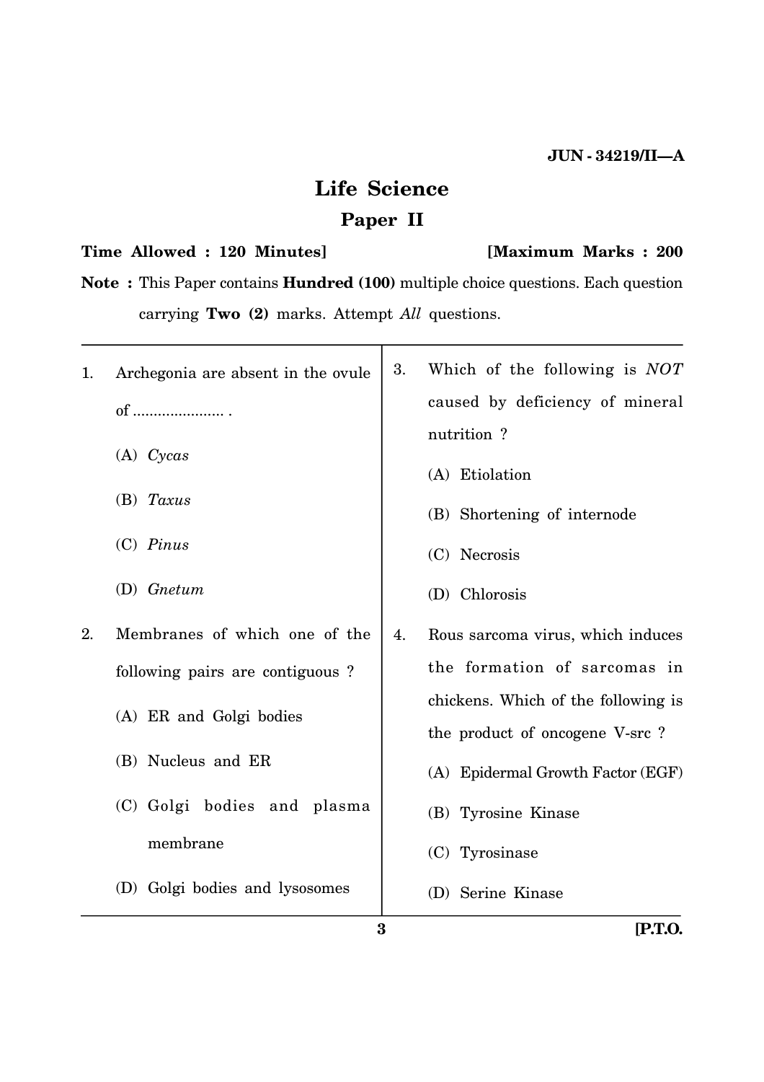# **Life Science Paper II**

### **Time Allowed : 120 Minutes] [Maximum Marks : 200**

**Note :** This Paper contains **Hundred (100)** multiple choice questions. Each question carrying **Two (2)** marks. Attempt *All* questions.

Т

| 1. | Archegonia are absent in the ovule | 3. | Which of the following is NOT       |
|----|------------------------------------|----|-------------------------------------|
|    | of                                 |    | caused by deficiency of mineral     |
|    | $(A)$ Cycas                        |    | nutrition?<br>(A) Etiolation        |
|    | $(B)$ Taxus                        |    | (B) Shortening of internode         |
|    | $(C)$ Pinus                        |    | $(C)$ Necrosis                      |
|    | $(D)$ Gnetum                       |    | (D) Chlorosis                       |
| 2. | Membranes of which one of the      | 4. | Rous sarcoma virus, which induces   |
|    | following pairs are contiguous?    |    | the formation of sarcomas in        |
|    | (A) ER and Golgi bodies            |    | chickens. Which of the following is |
|    |                                    |    | the product of oncogene V-src?      |
|    | (B) Nucleus and ER                 |    | (A) Epidermal Growth Factor (EGF)   |
|    | (C) Golgi bodies and plasma        |    | (B) Tyrosine Kinase                 |
|    | membrane                           |    | (C) Tyrosinase                      |
|    | (D) Golgi bodies and lysosomes     |    | (D) Serine Kinase                   |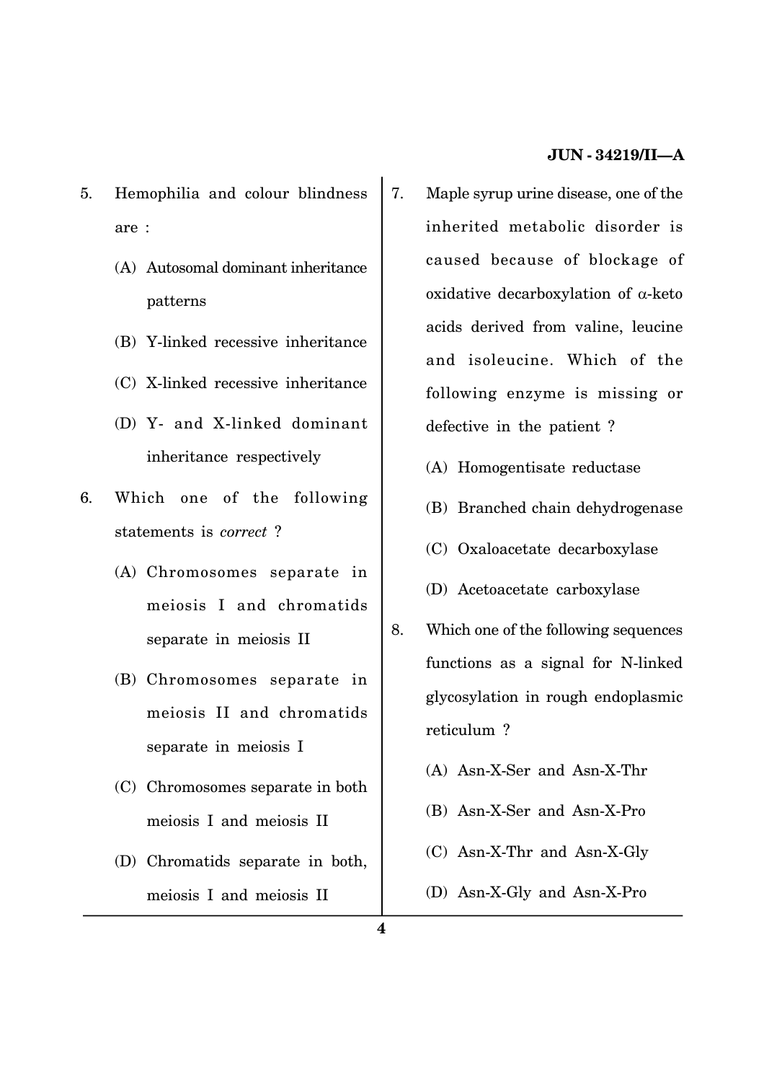- 5. Hemophilia and colour blindness are :
	- (A) Autosomal dominant inheritance patterns
	- (B) Y-linked recessive inheritance
	- (C) X-linked recessive inheritance
	- (D) Y- and X-linked dominant inheritance respectively
- 6. Which one of the following statements is *correct* ?
	- (A) Chromosomes separate in meiosis I and chromatids separate in meiosis II
	- (B) Chromosomes separate in meiosis II and chromatids separate in meiosis I
	- (C) Chromosomes separate in both meiosis I and meiosis II
	- (D) Chromatids separate in both, meiosis I and meiosis II
- 7. Maple syrup urine disease, one of the inherited metabolic disorder is caused because of blockage of oxidative decarboxylation of  $\alpha$ -keto acids derived from valine, leucine and isoleucine. Which of the following enzyme is missing or defective in the patient ?
	- (A) Homogentisate reductase
	- (B) Branched chain dehydrogenase
	- (C) Oxaloacetate decarboxylase
	- (D) Acetoacetate carboxylase
- 8. Which one of the following sequences functions as a signal for N-linked glycosylation in rough endoplasmic reticulum ?
	- (A) Asn-X-Ser and Asn-X-Thr
	- (B) Asn-X-Ser and Asn-X-Pro
	- (C) Asn-X-Thr and Asn-X-Gly
	- (D) Asn-X-Gly and Asn-X-Pro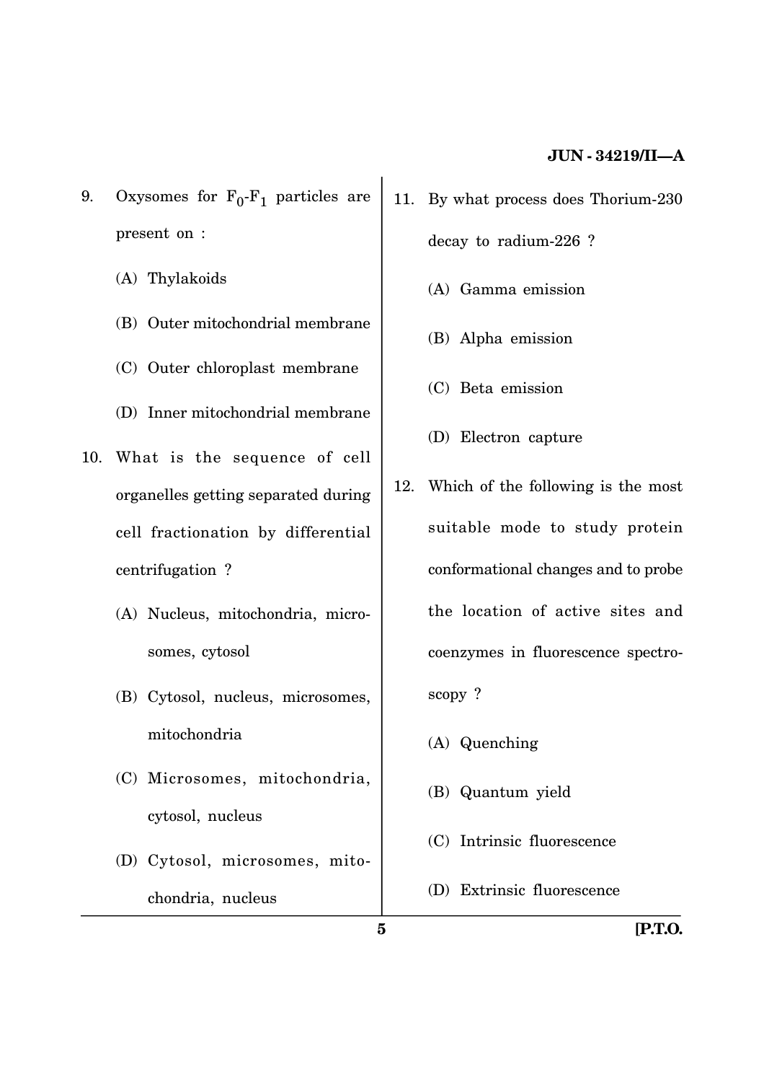- 9. Oxysomes for  $F_0-F_1$  particles are present on :
	- (A) Thylakoids
	- (B) Outer mitochondrial membrane
	- (C) Outer chloroplast membrane
	- (D) Inner mitochondrial membrane
- 10. What is the sequence of cell organelles getting separated during cell fractionation by differential centrifugation ?
	- (A) Nucleus, mitochondria, microsomes, cytosol
	- (B) Cytosol, nucleus, microsomes, mitochondria
	- (C) Microsomes, mitochondria, cytosol, nucleus
	- (D) Cytosol, microsomes, mitochondria, nucleus
- 11. By what process does Thorium-230 decay to radium-226 ?
	- (A) Gamma emission
	- (B) Alpha emission
	- (C) Beta emission
	- (D) Electron capture
- 12. Which of the following is the most suitable mode to study protein conformational changes and to probe the location of active sites and coenzymes in fluorescence spectroscopy ?
	- (A) Quenching
	- (B) Quantum yield
	- (C) Intrinsic fluorescence
	- (D) Extrinsic fluorescence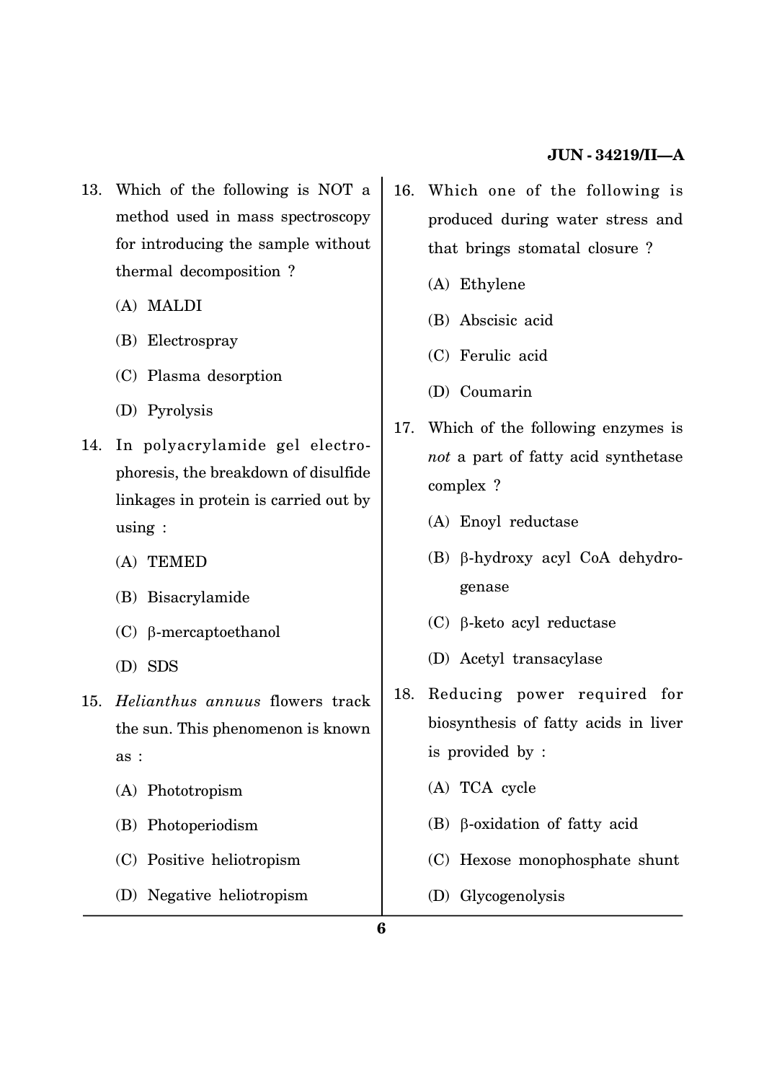- 13. Which of the following is NOT a method used in mass spectroscopy for introducing the sample without thermal decomposition ?
	- (A) MALDI
	- (B) Electrospray
	- (C) Plasma desorption
	- (D) Pyrolysis
- 14. In polyacrylamide gel electrophoresis, the breakdown of disulfide linkages in protein is carried out by using :
	- (A) TEMED
	- (B) Bisacrylamide
	- $(C)$   $\beta$ -mercaptoethanol
	- (D) SDS
- 15. *Helianthus annuus* flowers track the sun. This phenomenon is known as :
	- (A) Phototropism
	- (B) Photoperiodism
	- (C) Positive heliotropism
	- (D) Negative heliotropism
- 16. Which one of the following is produced during water stress and that brings stomatal closure ?
	- (A) Ethylene
	- (B) Abscisic acid
	- (C) Ferulic acid
	- (D) Coumarin
- 17. Which of the following enzymes is *not* a part of fatty acid synthetase complex ?
	- (A) Enoyl reductase
	- (B) β-hydroxy acyl CoA dehydrogenase
	- $(C)$   $\beta$ -keto acyl reductase
	- (D) Acetyl transacylase
- 18. Reducing power required for biosynthesis of fatty acids in liver is provided by :
	- (A) TCA cycle
	- (B)  $\beta$ -oxidation of fatty acid
	- (C) Hexose monophosphate shunt
	- (D) Glycogenolysis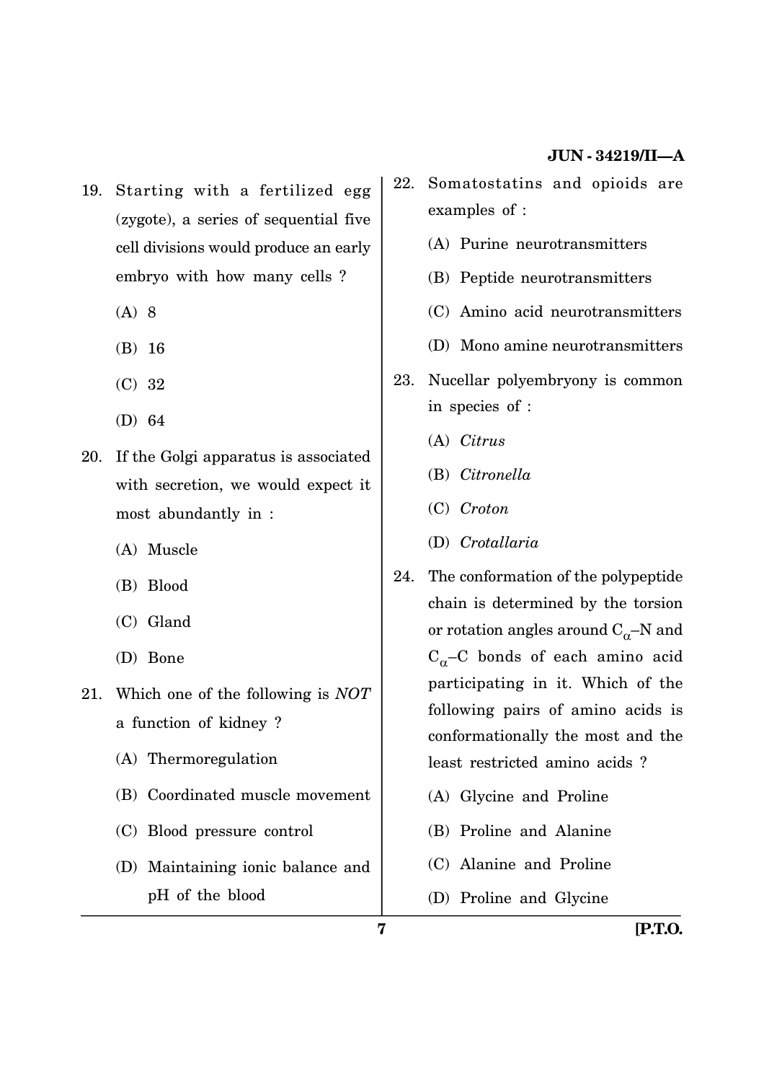- 19. Starting with a fertilized egg (zygote), a series of sequential five cell divisions would produce an early embryo with how many cells ?
	- (A) 8
	- (B) 16
	- (C) 32
	- (D) 64
- 20. If the Golgi apparatus is associated with secretion, we would expect it most abundantly in :
	- (A) Muscle
	- (B) Blood
	- (C) Gland
	- (D) Bone
- 21. Which one of the following is *NOT* a function of kidney ?
	- (A) Thermoregulation
	- (B) Coordinated muscle movement
	- (C) Blood pressure control
	- (D) Maintaining ionic balance and pH of the blood
- 22. Somatostatins and opioids are examples of :
	- (A) Purine neurotransmitters
	- (B) Peptide neurotransmitters
	- (C) Amino acid neurotransmitters
	- (D) Mono amine neurotransmitters
- 23. Nucellar polyembryony is common in species of :
	- (A) *Citrus*
	- (B) *Citronella*
	- (C) *Croton*
	- (D) *Crotallaria*
- 24. The conformation of the polypeptide chain is determined by the torsion or rotation angles around  $\mathrm{C}_{\alpha}\!\mathrm{-N}$  and  $\rm C_\alpha\rm-C$  bonds of each amino acid participating in it. Which of the following pairs of amino acids is conformationally the most and the least restricted amino acids ?
	- (A) Glycine and Proline
	- (B) Proline and Alanine
	- (C) Alanine and Proline
	- (D) Proline and Glycine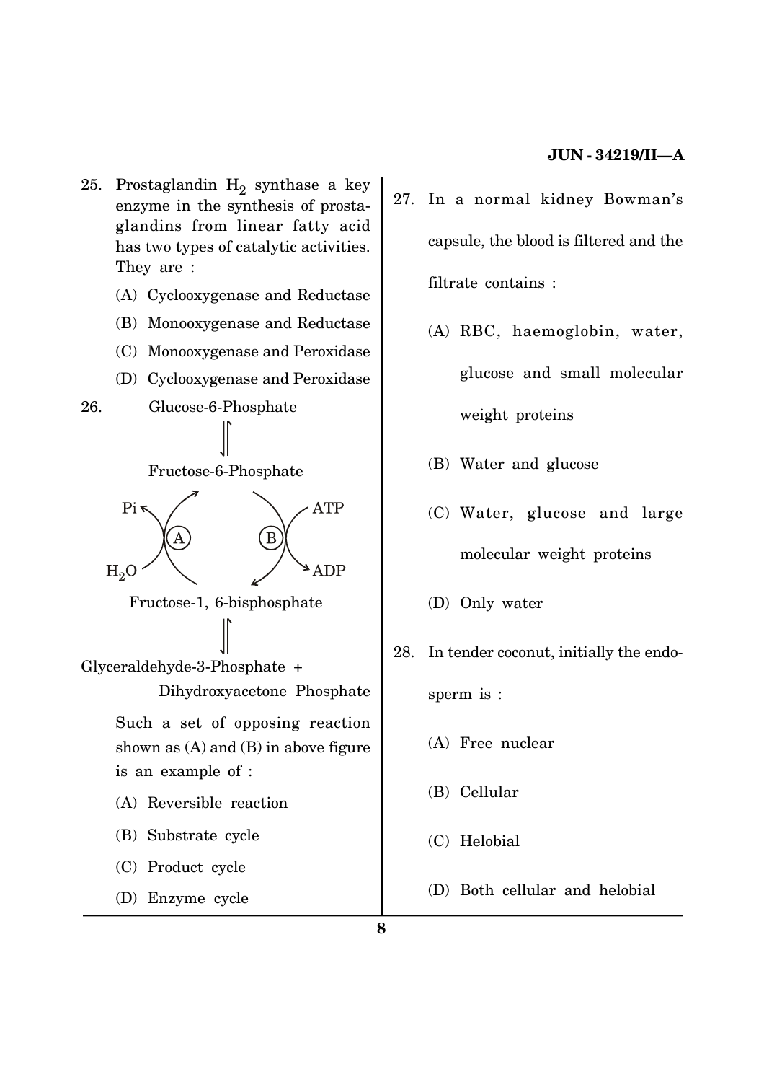- 25. Prostaglandin  ${\rm H_2}$  synthase a key enzyme in the synthesis of prostaglandins from linear fatty acid has two types of catalytic activities. They are :
	- (A) Cyclooxygenase and Reductase
	- (B) Monooxygenase and Reductase
	- (C) Monooxygenase and Peroxidase
	- (D) Cyclooxygenase and Peroxidase
- 26. Glucose-6-Phosphate

Fructose-6-Phosphate





Glyceraldehyde-3-Phosphate +

Dihydroxyacetone Phosphate Such a set of opposing reaction

shown as  $(A)$  and  $(B)$  in above figure is an example of :

(A) Reversible reaction

- (B) Substrate cycle
- (C) Product cycle
- (D) Enzyme cycle
- 27. In a normal kidney Bowman's capsule, the blood is filtered and the filtrate contains :
	- (A) RBC, haemoglobin, water, glucose and small molecular weight proteins
	- (B) Water and glucose
	- (C) Water, glucose and large molecular weight proteins
	- (D) Only water
- 28. In tender coconut, initially the endosperm is :
	- (A) Free nuclear
	- (B) Cellular
	- (C) Helobial
	- (D) Both cellular and helobial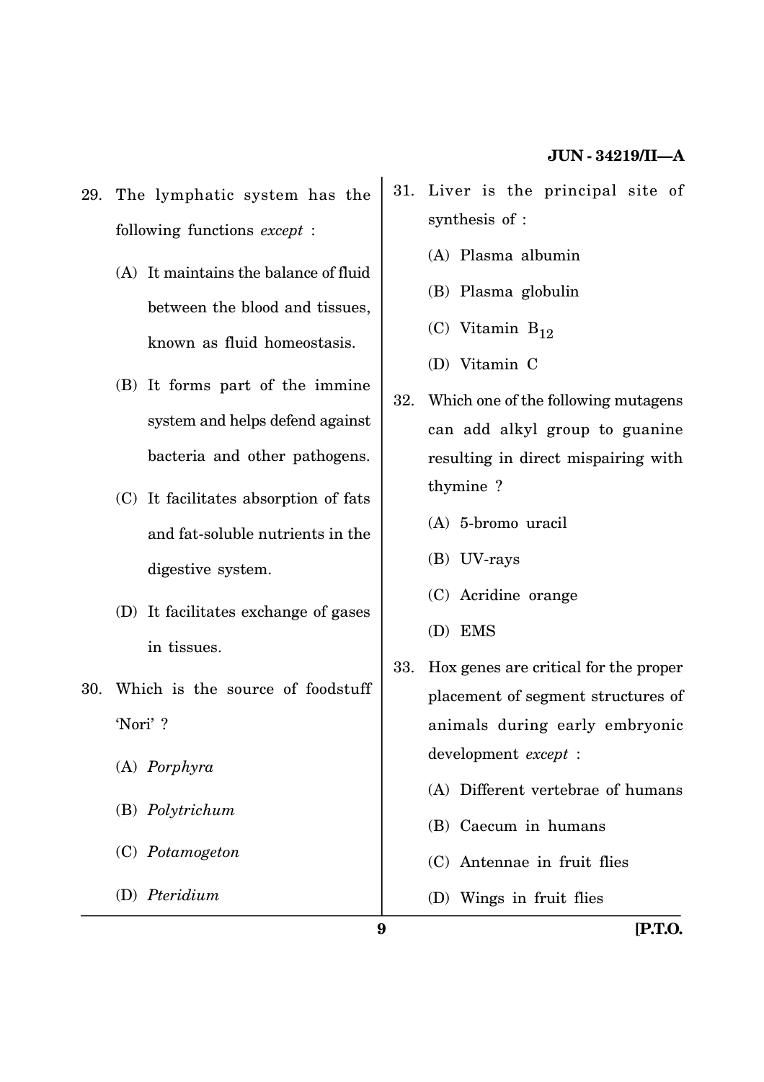- 29. The lymphatic system has the following functions *except* :
	- (A) It maintains the balance of fluid between the blood and tissues, known as fluid homeostasis.
	- (B) It forms part of the immine system and helps defend against bacteria and other pathogens.
	- (C) It facilitates absorption of fats and fat-soluble nutrients in the digestive system.
	- (D) It facilitates exchange of gases in tissues.
- 30. Which is the source of foodstuff 'Nori' ?
	- (A) *Porphyra*
	- (B) *Polytrichum*
	- (C) *Potamogeton*
	- (D) *Pteridium*
- 31. Liver is the principal site of synthesis of :
	- (A) Plasma albumin
	- (B) Plasma globulin
	- (C) Vitamin  $B_{12}$
	- (D) Vitamin C
- 32. Which one of the following mutagens can add alkyl group to guanine resulting in direct mispairing with thymine ?
	- (A) 5-bromo uracil
	- (B) UV-rays
	- (C) Acridine orange
	- (D) EMS
- 33. Hox genes are critical for the proper placement of segment structures of animals during early embryonic development *except* :
	- (A) Different vertebrae of humans
	- (B) Caecum in humans
	- (C) Antennae in fruit flies
	- (D) Wings in fruit flies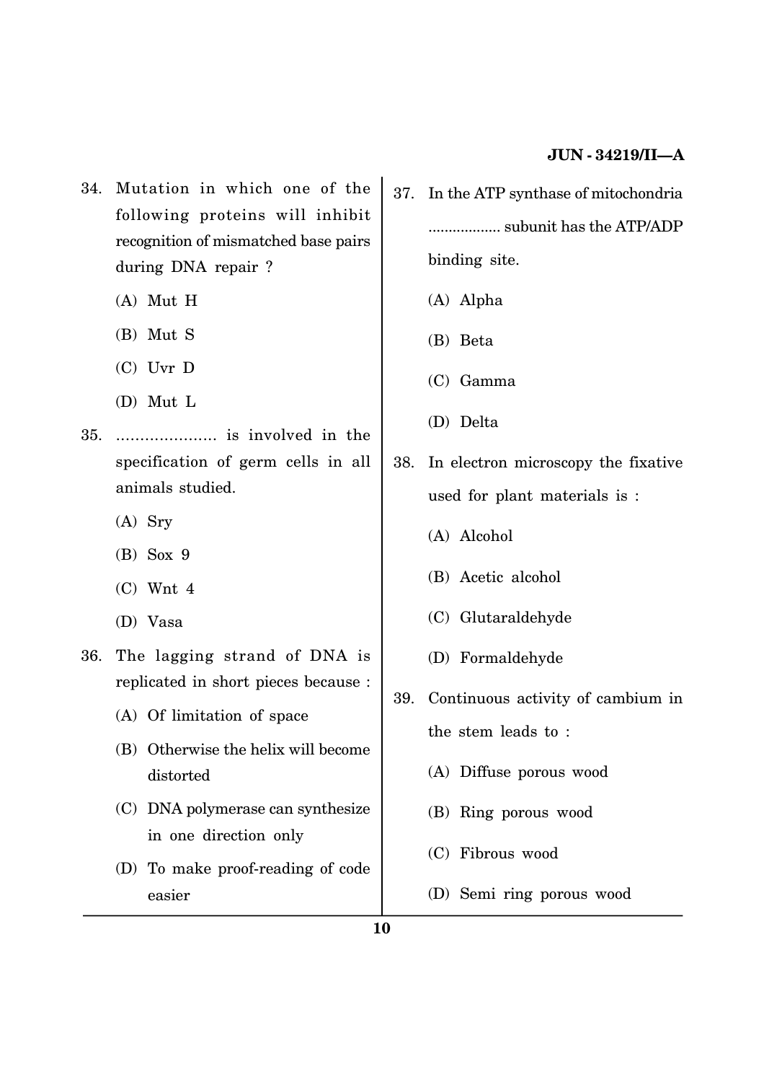- 34. Mutation in which one of the following proteins will inhibit recognition of mismatched base pairs during DNA repair ?
	- (A) Mut H
	- (B) Mut S
	- (C) Uvr D
	- (D) Mut L
- 35. ..................... is involved in the specification of germ cells in all animals studied.
	- (A) Sry
	- (B) Sox 9
	- (C) Wnt 4
	- (D) Vasa
- 36. The lagging strand of DNA is replicated in short pieces because :
	- (A) Of limitation of space
	- (B) Otherwise the helix will become distorted
	- (C) DNA polymerase can synthesize in one direction only
	- (D) To make proof-reading of code easier
- 37. In the ATP synthase of mitochondria .................. subunit has the ATP/ADP binding site.
	- (A) Alpha
	- (B) Beta
	- (C) Gamma
	- (D) Delta
- 38. In electron microscopy the fixative used for plant materials is :
	- (A) Alcohol
	- (B) Acetic alcohol
	- (C) Glutaraldehyde
	- (D) Formaldehyde
- 39. Continuous activity of cambium in the stem leads to :
	- (A) Diffuse porous wood
	- (B) Ring porous wood
	- (C) Fibrous wood
	- (D) Semi ring porous wood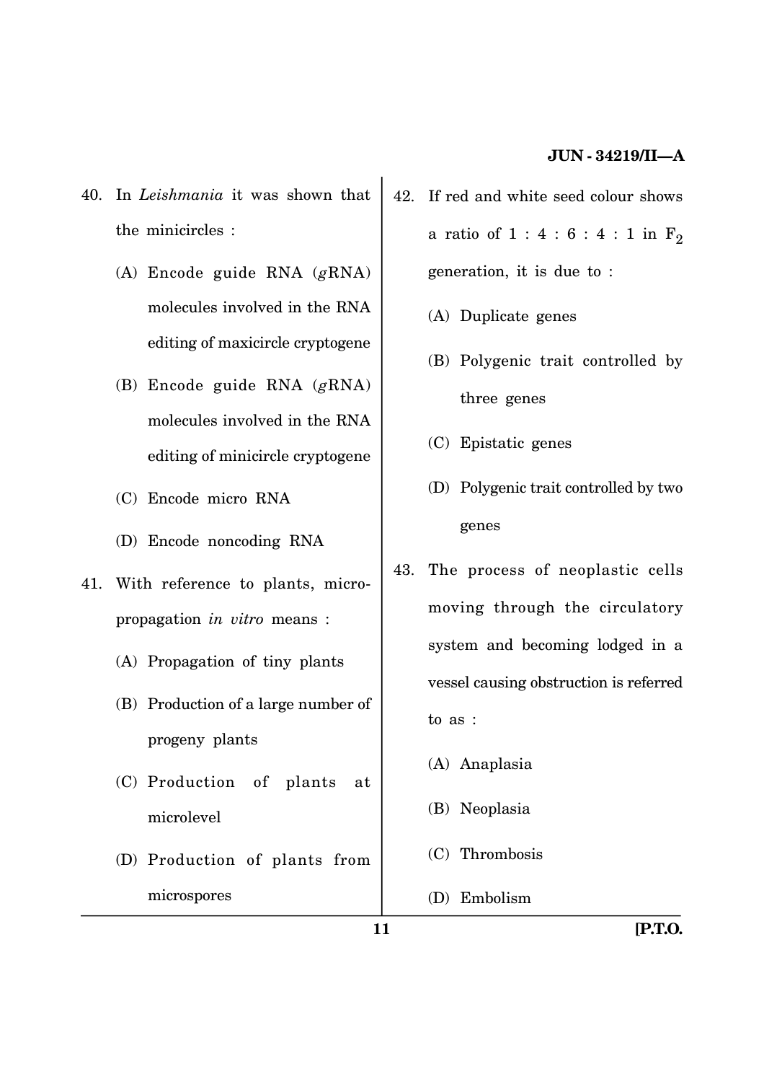- 40. In *Leishmania* it was shown that the minicircles :
	- (A) Encode guide RNA (*g*RNA) molecules involved in the RNA editing of maxicircle cryptogene
	- (B) Encode guide RNA (*g*RNA) molecules involved in the RNA editing of minicircle cryptogene
	- (C) Encode micro RNA
	- (D) Encode noncoding RNA
- 41. With reference to plants, micropropagation *in vitro* means :
	- (A) Propagation of tiny plants
	- (B) Production of a large number of progeny plants
	- (C) Production of plants at microlevel
	- (D) Production of plants from microspores
- 42. If red and white seed colour shows a ratio of  $1 : 4 : 6 : 4 : 1$  in  $F_2$ generation, it is due to :
	- (A) Duplicate genes
	- (B) Polygenic trait controlled by three genes
	- (C) Epistatic genes
	- (D) Polygenic trait controlled by two genes
- 43. The process of neoplastic cells moving through the circulatory system and becoming lodged in a vessel causing obstruction is referred to as :
	- (A) Anaplasia
	- (B) Neoplasia
	- (C) Thrombosis
	- (D) Embolism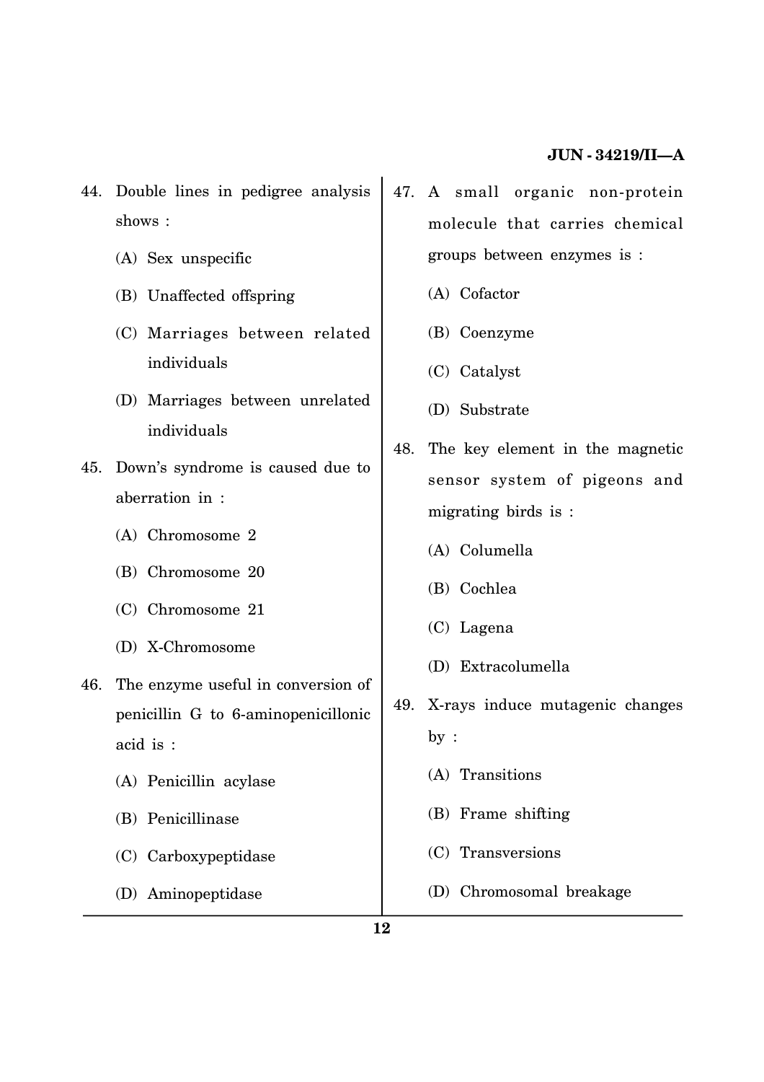- 44. Double lines in pedigree analysis shows :
	- (A) Sex unspecific
	- (B) Unaffected offspring
	- (C) Marriages between related individuals
	- (D) Marriages between unrelated individuals
- 45. Down's syndrome is caused due to aberration in :
	- (A) Chromosome 2
	- (B) Chromosome 20
	- (C) Chromosome 21
	- (D) X-Chromosome
- 46. The enzyme useful in conversion of penicillin G to 6-aminopenicillonic acid is :
	- (A) Penicillin acylase
	- (B) Penicillinase
	- (C) Carboxypeptidase
	- (D) Aminopeptidase
- 47. A small organic non-protein molecule that carries chemical groups between enzymes is :
	- (A) Cofactor
	- (B) Coenzyme
	- (C) Catalyst
	- (D) Substrate
- 48. The key element in the magnetic sensor system of pigeons and migrating birds is :
	- (A) Columella
	- (B) Cochlea
	- (C) Lagena
	- (D) Extracolumella
- 49. X-rays induce mutagenic changes by :
	- (A) Transitions
	- (B) Frame shifting
	- (C) Transversions
	- (D) Chromosomal breakage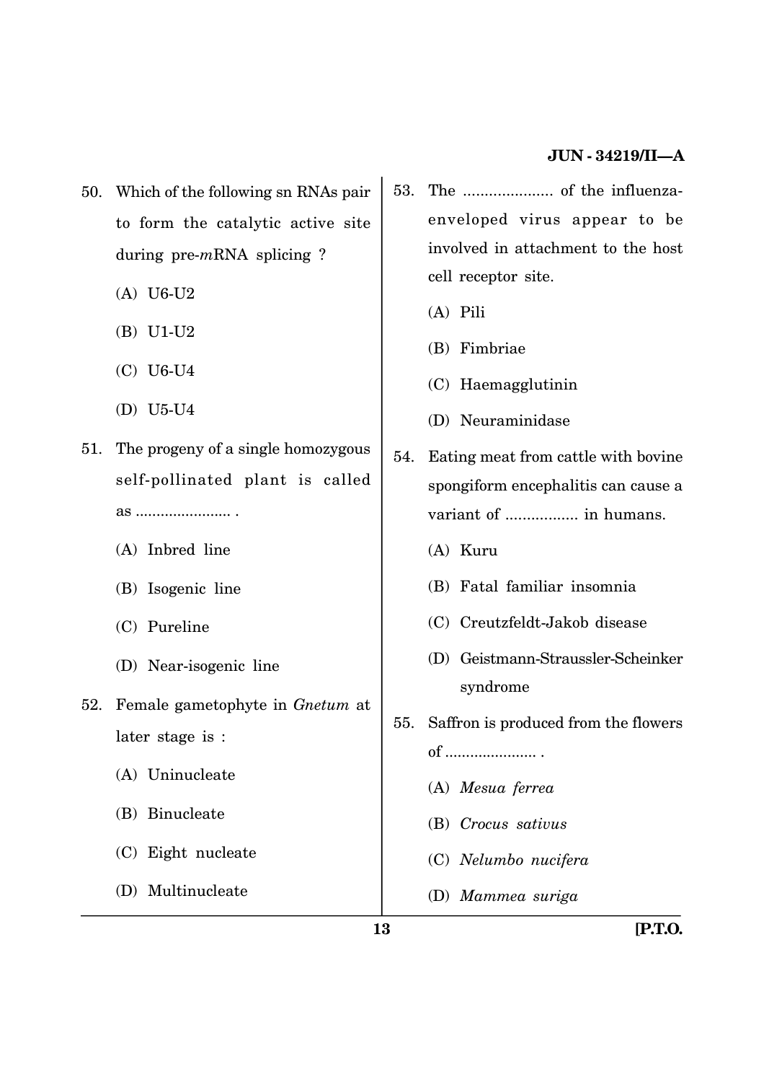- 50. Which of the following sn RNAs pair to form the catalytic active site during pre-*m*RNA splicing ?
	- (A) U6-U2
	- (B) U1-U2
	- (C) U6-U4
	- (D) U5-U4
- 51. The progeny of a single homozygous self-pollinated plant is called as ....................... .
	- (A) Inbred line
	- (B) Isogenic line
	- (C) Pureline
	- (D) Near-isogenic line
- 52. Female gametophyte in *Gnetum* at later stage is :
	- (A) Uninucleate
	- (B) Binucleate
	- (C) Eight nucleate
	- (D) Multinucleate
- 53. The ..................... of the influenzaenveloped virus appear to be involved in attachment to the host cell receptor site.
	- (A) Pili
	- (B) Fimbriae
	- (C) Haemagglutinin
	- (D) Neuraminidase
- 54. Eating meat from cattle with bovine spongiform encephalitis can cause a variant of ................. in humans.
	- (A) Kuru
	- (B) Fatal familiar insomnia
	- (C) Creutzfeldt-Jakob disease
	- (D) Geistmann-Straussler-Scheinker syndrome
- 55. Saffron is produced from the flowers of ...................... .
	- (A) *Mesua ferrea*
	- (B) *Crocus sativus*
	- (C) *Nelumbo nucifera*
	- (D) *Mammea suriga*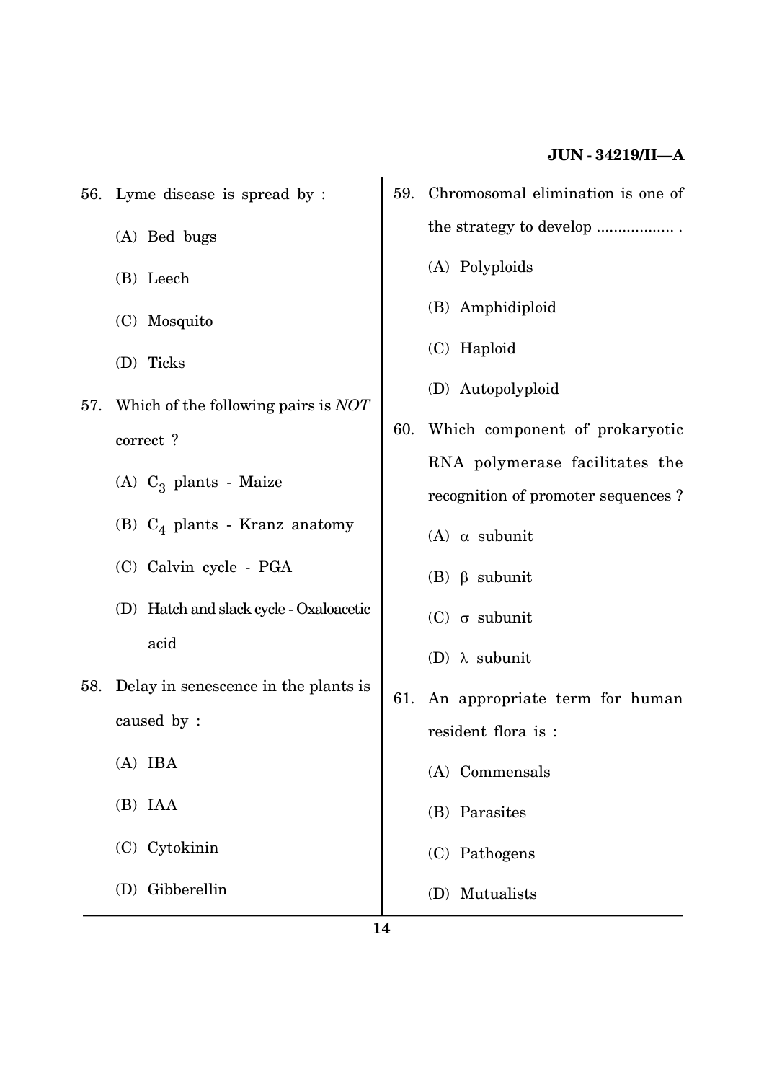56. Lyme disease is spread by : (A) Bed bugs (B) Leech (C) Mosquito (D) Ticks 57. Which of the following pairs is *NOT* correct ?  $(A)$   $C_3$  plants - Maize (B)  $C_4$  plants - Kranz anatomy (C) Calvin cycle - PGA (D) Hatch and slack cycle - Oxaloacetic acid 58. Delay in senescence in the plants is caused by : (A) IBA (B) IAA (C) Cytokinin (D) Gibberellin 59. Chromosomal elimination is one of the strategy to develop .................. . (A) Polyploids (B) Amphidiploid (C) Haploid (D) Autopolyploid 60. Which component of prokaryotic RNA polymerase facilitates the recognition of promoter sequences ? (A)  $\alpha$  subunit (B)  $\beta$  subunit (C)  $\sigma$  subunit (D)  $\lambda$  subunit 61. An appropriate term for human resident flora is : (A) Commensals (B) Parasites (C) Pathogens (D) Mutualists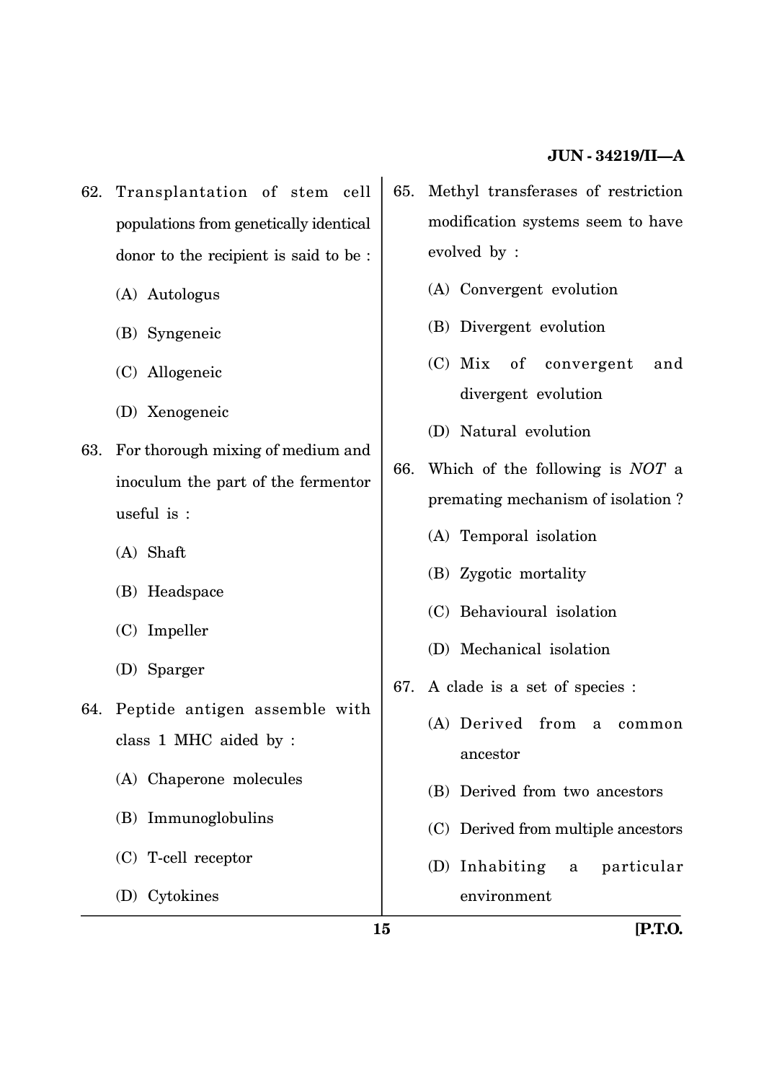- 62. Transplantation of stem cell populations from genetically identical donor to the recipient is said to be :
	- (A) Autologus
	- (B) Syngeneic
	- (C) Allogeneic
	- (D) Xenogeneic
- 63. For thorough mixing of medium and inoculum the part of the fermentor useful is :
	- (A) Shaft
	- (B) Headspace
	- (C) Impeller
	- (D) Sparger
- 64. Peptide antigen assemble with class 1 MHC aided by :
	- (A) Chaperone molecules
	- (B) Immunoglobulins
	- (C) T-cell receptor
	- (D) Cytokines
- 65. Methyl transferases of restriction modification systems seem to have evolved by :
	- (A) Convergent evolution
	- (B) Divergent evolution
	- (C) Mix of convergent and divergent evolution
	- (D) Natural evolution
- 66. Which of the following is *NOT* a premating mechanism of isolation ?
	- (A) Temporal isolation
	- (B) Zygotic mortality
	- (C) Behavioural isolation
	- (D) Mechanical isolation
- 67. A clade is a set of species :
	- (A) Derived from a common ancestor
	- (B) Derived from two ancestors
	- (C) Derived from multiple ancestors
	- (D) Inhabiting a particular environment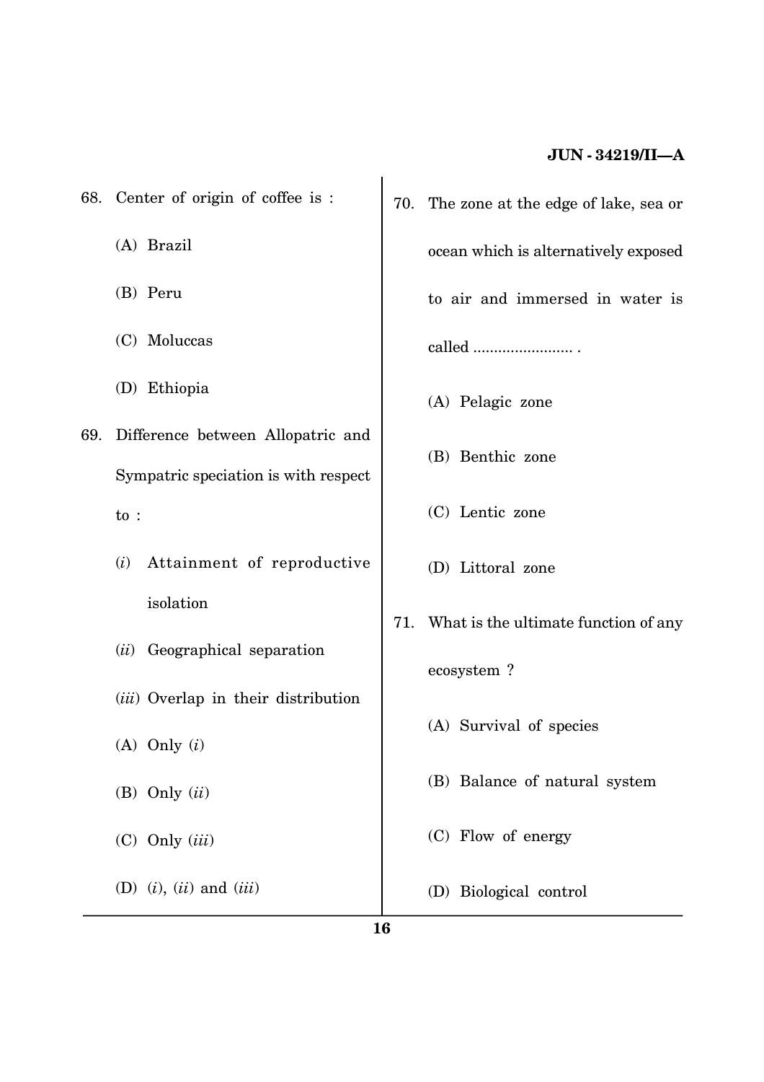- 68. Center of origin of coffee is :
	- (A) Brazil
	- (B) Peru
	- (C) Moluccas
	- (D) Ethiopia
- 69. Difference between Allopatric and Sympatric speciation is with respect to :
	- (*i*) Attainment of reproductive isolation
	- (*ii*) Geographical separation
	- (*iii*) Overlap in their distribution
	- (A) Only (*i*)
	- (B) Only (*ii*)
	- (C) Only (*iii*)
	- (D) (*i*), (*ii*) and (*iii*)
- 70. The zone at the edge of lake, sea or ocean which is alternatively exposed to air and immersed in water is called ........................ .
	- (A) Pelagic zone
	- (B) Benthic zone
	- (C) Lentic zone
	- (D) Littoral zone
- 71. What is the ultimate function of any ecosystem ?
	- (A) Survival of species
	- (B) Balance of natural system
	- (C) Flow of energy
	- (D) Biological control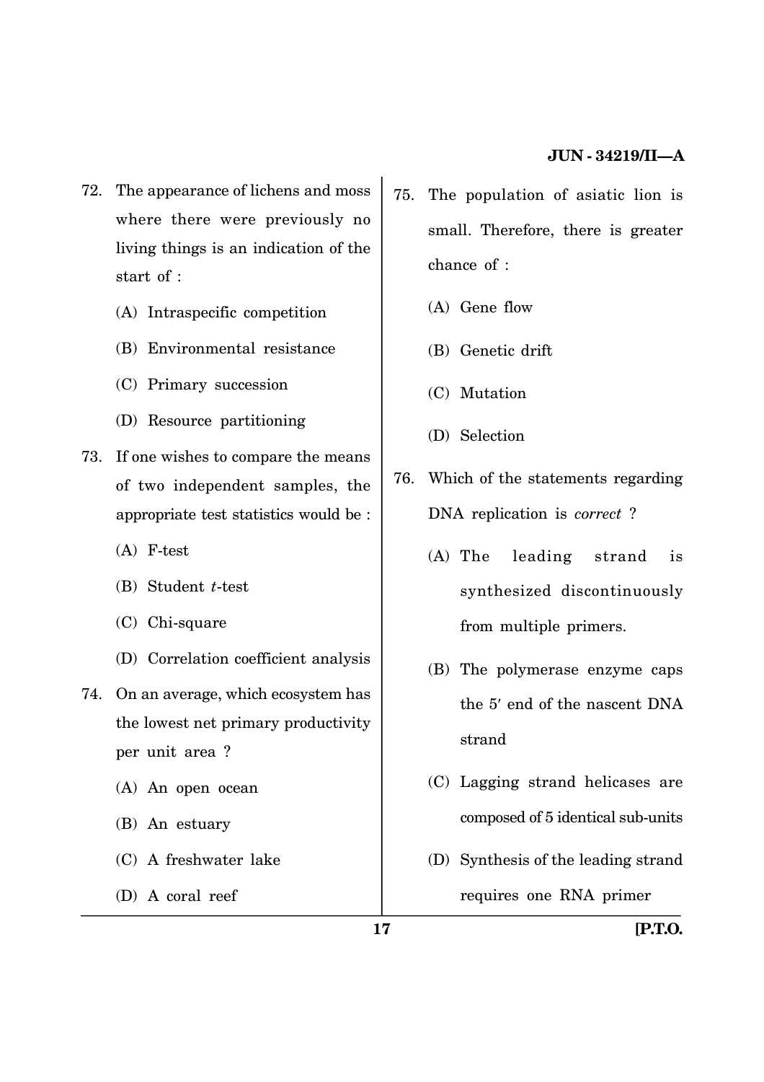- 72. The appearance of lichens and moss where there were previously no living things is an indication of the start of :
	- (A) Intraspecific competition
	- (B) Environmental resistance
	- (C) Primary succession
	- (D) Resource partitioning
- 73. If one wishes to compare the means of two independent samples, the appropriate test statistics would be :
	- (A) F-test
	- (B) Student *t*-test
	- (C) Chi-square
	- (D) Correlation coefficient analysis
- 74. On an average, which ecosystem has the lowest net primary productivity per unit area ?
	- (A) An open ocean
	- (B) An estuary
	- (C) A freshwater lake
	- (D) A coral reef
- 75. The population of asiatic lion is small. Therefore, there is greater chance of :
	- (A) Gene flow
	- (B) Genetic drift
	- (C) Mutation
	- (D) Selection
- 76. Which of the statements regarding DNA replication is *correct* ?
	- (A) The leading strand is synthesized discontinuously from multiple primers.
	- (B) The polymerase enzyme caps the 5' end of the nascent DNA strand
	- (C) Lagging strand helicases are composed of 5 identical sub-units
	- (D) Synthesis of the leading strand requires one RNA primer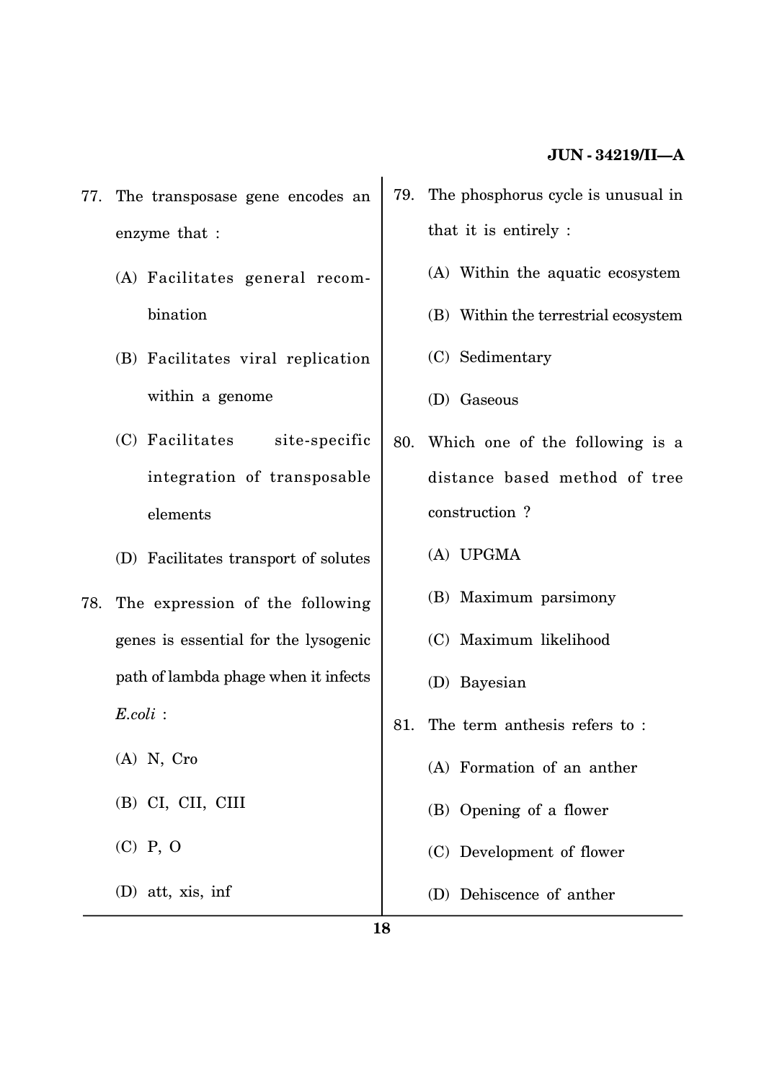- 77. The transposase gene encodes an enzyme that :
	- (A) Facilitates general recombination
	- (B) Facilitates viral replication within a genome
	- (C) Facilitates site-specific integration of transposable elements
	- (D) Facilitates transport of solutes
- 78. The expression of the following genes is essential for the lysogenic path of lambda phage when it infects *E.coli* :
	- (A) N, Cro
	- (B) CI, CII, CIII
	- (C) P, O
	- (D) att, xis, inf
- 79. The phosphorus cycle is unusual in that it is entirely :
	- (A) Within the aquatic ecosystem
	- (B) Within the terrestrial ecosystem
	- (C) Sedimentary
	- (D) Gaseous
- 80. Which one of the following is a distance based method of tree construction ?
	- (A) UPGMA
	- (B) Maximum parsimony
	- (C) Maximum likelihood
	- (D) Bayesian
- 81. The term anthesis refers to :
	- (A) Formation of an anther
	- (B) Opening of a flower
	- (C) Development of flower
	- (D) Dehiscence of anther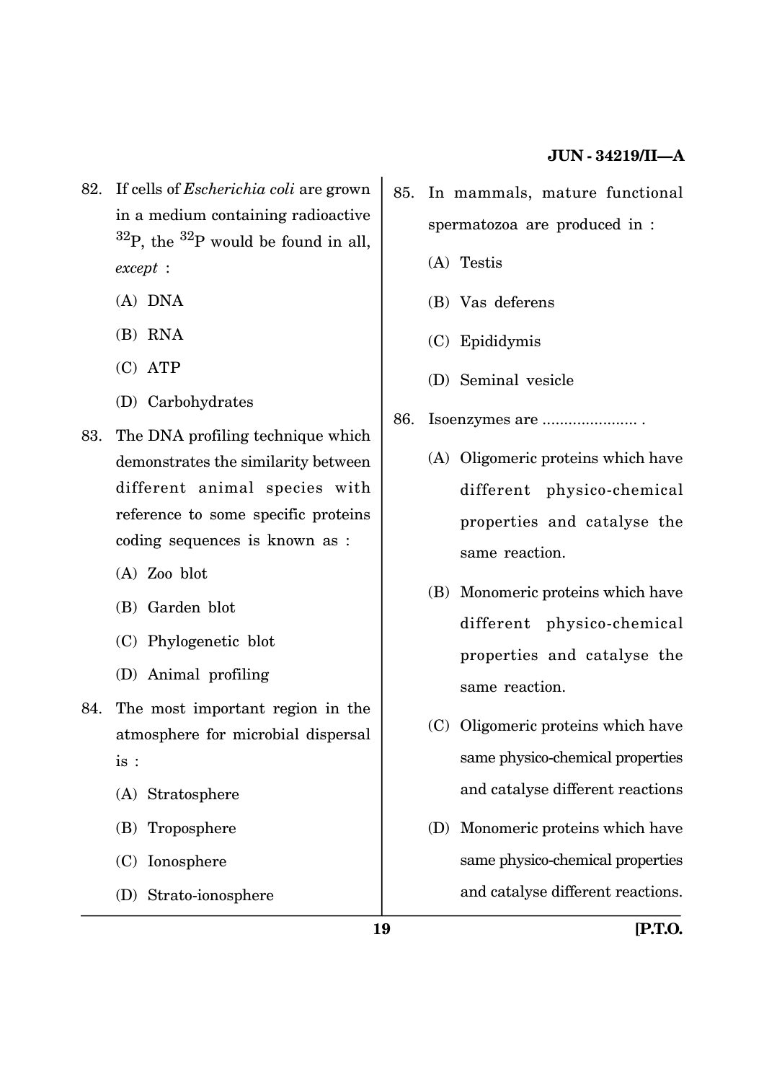- 82. If cells of *Escherichia coli* are grown in a medium containing radioactive  $32P$ , the  $32P$  would be found in all, *except* :
	- (A) DNA
	- (B) RNA
	- (C) ATP
	- (D) Carbohydrates
- 83. The DNA profiling technique which demonstrates the similarity between different animal species with reference to some specific proteins coding sequences is known as :
	- (A) Zoo blot
	- (B) Garden blot
	- (C) Phylogenetic blot
	- (D) Animal profiling
- 84. The most important region in the atmosphere for microbial dispersal is :
	- (A) Stratosphere
	- (B) Troposphere
	- (C) Ionosphere
	- (D) Strato-ionosphere
- 85. In mammals, mature functional spermatozoa are produced in :
	- (A) Testis
	- (B) Vas deferens
	- (C) Epididymis
	- (D) Seminal vesicle
- 86. Isoenzymes are ...................... .
	- (A) Oligomeric proteins which have different physico-chemical properties and catalyse the same reaction.
	- (B) Monomeric proteins which have different physico-chemical properties and catalyse the same reaction.
	- (C) Oligomeric proteins which have same physico-chemical properties and catalyse different reactions
	- (D) Monomeric proteins which have same physico-chemical properties and catalyse different reactions.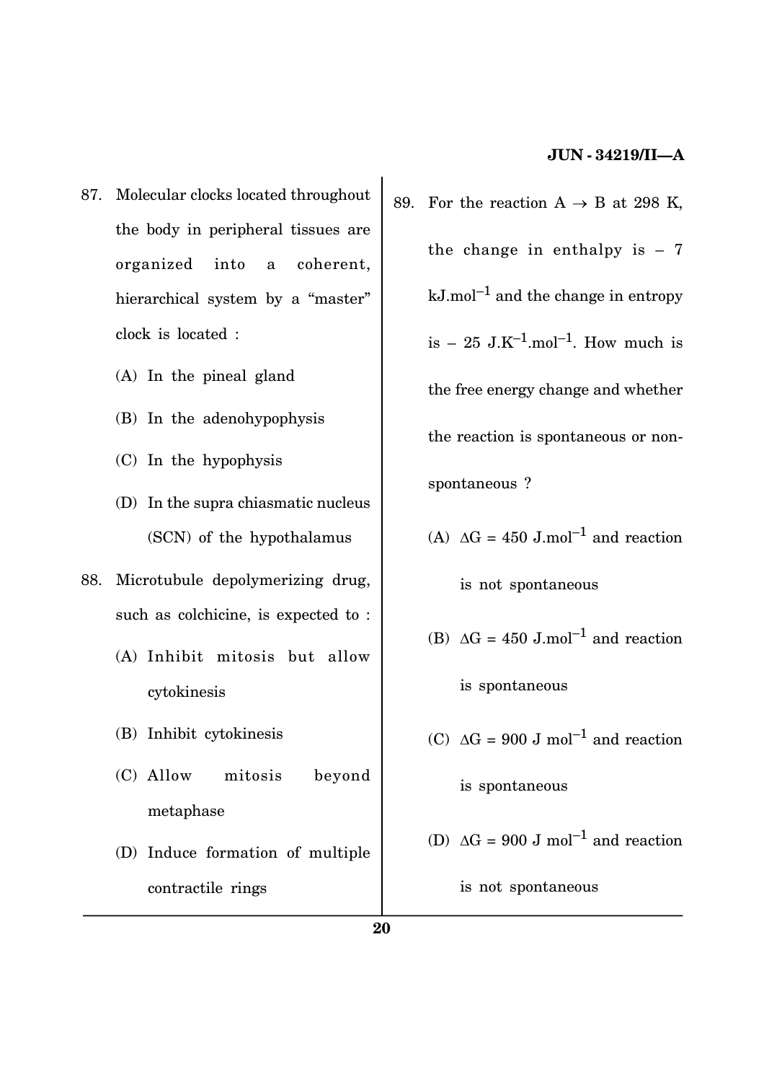- 87. Molecular clocks located throughout the body in peripheral tissues are organized into a coherent, hierarchical system by a "master" clock is located :
	- (A) In the pineal gland
	- (B) In the adenohypophysis
	- (C) In the hypophysis
	- (D) In the supra chiasmatic nucleus (SCN) of the hypothalamus
- 88. Microtubule depolymerizing drug, such as colchicine, is expected to :
	- (A) Inhibit mitosis but allow cytokinesis
	- (B) Inhibit cytokinesis
	- (C) Allow mitosis beyond metaphase
	- (D) Induce formation of multiple contractile rings
- 89. For the reaction  $A \rightarrow B$  at 298 K, the change in enthalpy is  $-7$  $kJ$ .mol<sup>-1</sup> and the change in entropy is  $-25$  J.K<sup>-1</sup>.mol<sup>-1</sup>. How much is the free energy change and whether the reaction is spontaneous or nonspontaneous ?
	- (A)  $\Delta G = 450$  J.mol<sup>-1</sup> and reaction is not spontaneous
	- (B)  $\Delta G = 450$  J.mol<sup>-1</sup> and reaction

is spontaneous

(C)  $\Delta G = 900$  J mol<sup>-1</sup> and reaction

is spontaneous

(D)  $\Delta G = 900$  J mol<sup>-1</sup> and reaction

is not spontaneous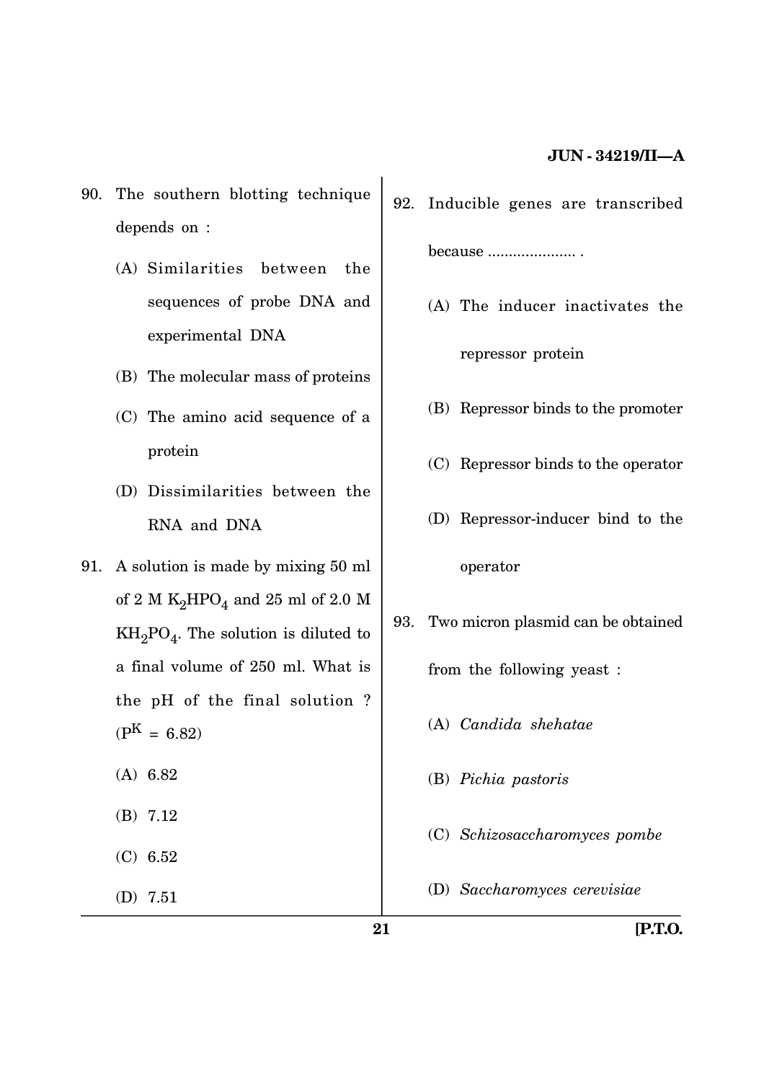- 90. The southern blotting technique depends on :
	- (A) Similarities between the sequences of probe DNA and experimental DNA
	- (B) The molecular mass of proteins
	- (C) The amino acid sequence of a protein
	- (D) Dissimilarities between the RNA and DNA
- 91. A solution is made by mixing 50 ml of 2 M  $\rm K_2HPO_4$  and 25 ml of 2.0 M  $\mathrm{KH}_{2}\mathrm{PO}_{4}$ . The solution is diluted to a final volume of 250 ml. What is the pH of the final solution ?  $(P^{K} = 6.82)$ (A) 6.82 (B) 7.12
	- (C) 6.52
	- (D) 7.51
- 92. Inducible genes are transcribed because ..................... .
	- (A) The inducer inactivates the repressor protein
	- (B) Repressor binds to the promoter
	- (C) Repressor binds to the operator
	- (D) Repressor-inducer bind to the operator
- 93. Two micron plasmid can be obtained from the following yeast :
	- (A) *Candida shehatae*
	- (B) *Pichia pastoris*
	- (C) *Schizosaccharomyces pombe*
	- (D) *Saccharomyces cerevisiae*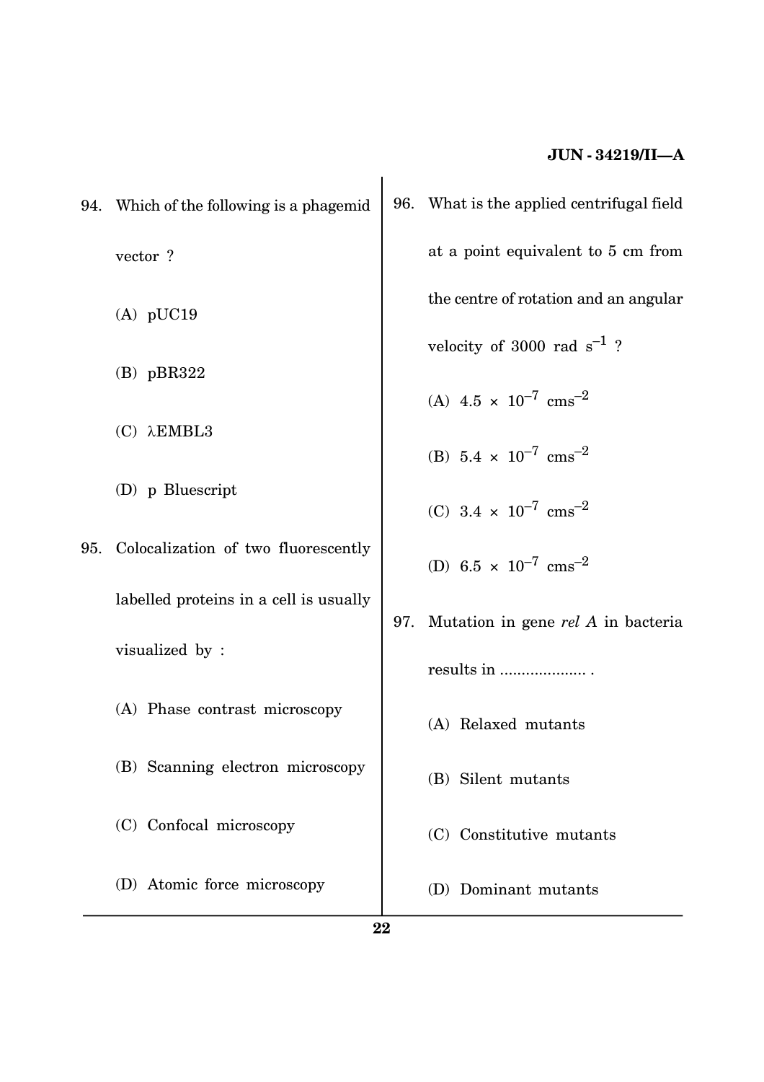| at a point equivalent to 5 cm from<br>vector?<br>the centre of rotation and an angular<br>$(A)$ pUC19<br>velocity of 3000 rad $s^{-1}$ ?<br>$(B)$ pBR322<br>(A) $4.5 \times 10^{-7}$ cms <sup>-2</sup><br>$(C)$ $\lambda$ <b>EMBL3</b><br>(B) $5.4 \times 10^{-7}$ cms <sup>-2</sup><br>(D) p Bluescript<br>(C) 3.4 $\times$ 10 <sup>-7</sup> cms <sup>-2</sup><br>Colocalization of two fluorescently<br>95.<br>(D) 6.5 $\times$ 10 <sup>-7</sup> cms <sup>-2</sup><br>labelled proteins in a cell is usually<br>Mutation in gene rel A in bacteria<br>97.<br>visualized by :<br>results in<br>(A) Phase contrast microscopy<br>(A) Relaxed mutants<br>(B) Scanning electron microscopy<br>(B) Silent mutants<br>(C) Confocal microscopy<br>(C) Constitutive mutants | 94. | Which of the following is a phagemid | 96. | What is the applied centrifugal field |
|-----------------------------------------------------------------------------------------------------------------------------------------------------------------------------------------------------------------------------------------------------------------------------------------------------------------------------------------------------------------------------------------------------------------------------------------------------------------------------------------------------------------------------------------------------------------------------------------------------------------------------------------------------------------------------------------------------------------------------------------------------------------------|-----|--------------------------------------|-----|---------------------------------------|
|                                                                                                                                                                                                                                                                                                                                                                                                                                                                                                                                                                                                                                                                                                                                                                       |     |                                      |     |                                       |
|                                                                                                                                                                                                                                                                                                                                                                                                                                                                                                                                                                                                                                                                                                                                                                       |     |                                      |     |                                       |
|                                                                                                                                                                                                                                                                                                                                                                                                                                                                                                                                                                                                                                                                                                                                                                       |     |                                      |     |                                       |
|                                                                                                                                                                                                                                                                                                                                                                                                                                                                                                                                                                                                                                                                                                                                                                       |     |                                      |     |                                       |
|                                                                                                                                                                                                                                                                                                                                                                                                                                                                                                                                                                                                                                                                                                                                                                       |     |                                      |     |                                       |
|                                                                                                                                                                                                                                                                                                                                                                                                                                                                                                                                                                                                                                                                                                                                                                       |     |                                      |     |                                       |
|                                                                                                                                                                                                                                                                                                                                                                                                                                                                                                                                                                                                                                                                                                                                                                       |     |                                      |     |                                       |
|                                                                                                                                                                                                                                                                                                                                                                                                                                                                                                                                                                                                                                                                                                                                                                       |     |                                      |     |                                       |
|                                                                                                                                                                                                                                                                                                                                                                                                                                                                                                                                                                                                                                                                                                                                                                       |     |                                      |     |                                       |
|                                                                                                                                                                                                                                                                                                                                                                                                                                                                                                                                                                                                                                                                                                                                                                       |     |                                      |     |                                       |
|                                                                                                                                                                                                                                                                                                                                                                                                                                                                                                                                                                                                                                                                                                                                                                       |     |                                      |     |                                       |
|                                                                                                                                                                                                                                                                                                                                                                                                                                                                                                                                                                                                                                                                                                                                                                       |     |                                      |     |                                       |
|                                                                                                                                                                                                                                                                                                                                                                                                                                                                                                                                                                                                                                                                                                                                                                       |     |                                      |     |                                       |
| (D) Dominant mutants                                                                                                                                                                                                                                                                                                                                                                                                                                                                                                                                                                                                                                                                                                                                                  |     | (D) Atomic force microscopy          |     |                                       |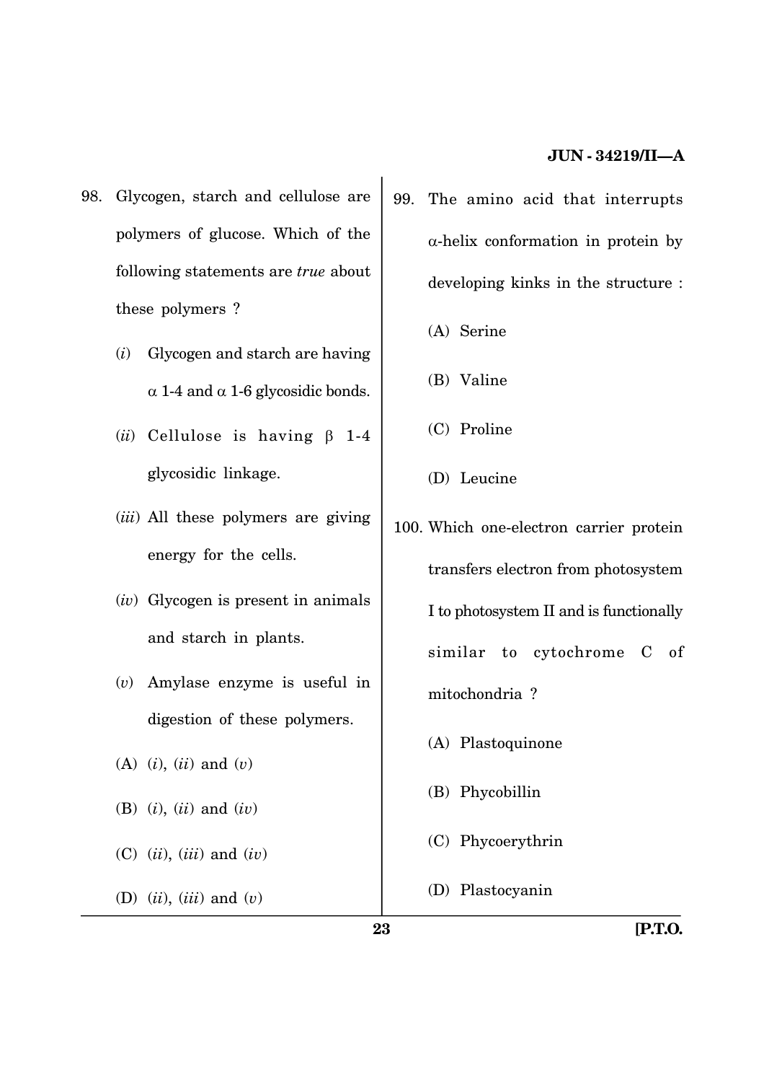- 98. Glycogen, starch and cellulose are polymers of glucose. Which of the following statements are *true* about these polymers ?
	- (*i*) Glycogen and starch are having  $\alpha$  1-4 and  $\alpha$  1-6 glycosidic bonds.
	- (*ii*) Cellulose is having  $\beta$  1-4 glycosidic linkage.
	- (*iii*) All these polymers are giving energy for the cells.
	- (*iv*) Glycogen is present in animals and starch in plants.
	- (*v*) Amylase enzyme is useful in digestion of these polymers.
	- (A) (*i*), (*ii*) and (*v*)
	- (B) (*i*), (*ii*) and (*iv*)
	- (C) (*ii*), (*iii*) and (*iv*)
	- (D) (*ii*), (*iii*) and (*v*)
- 99. The amino acid that interrupts  $\alpha$ -helix conformation in protein by developing kinks in the structure :
	- (A) Serine
	- (B) Valine
	- (C) Proline
	- (D) Leucine
- 100. Which one-electron carrier protein transfers electron from photosystem I to photosystem II and is functionally similar to cytochrome C of mitochondria ?
	- (A) Plastoquinone
	- (B) Phycobillin
	- (C) Phycoerythrin
	- (D) Plastocyanin